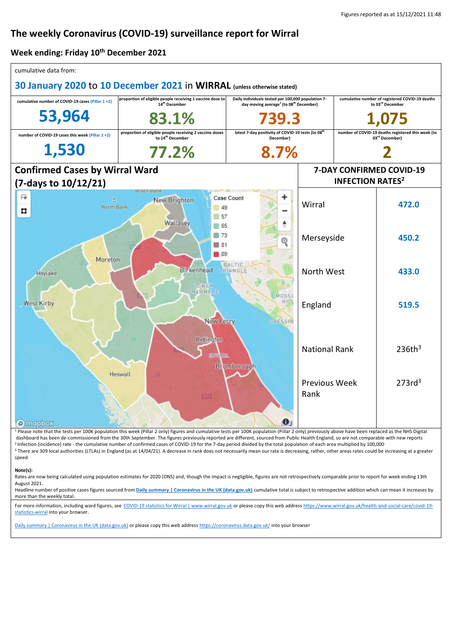# **The weekly Coronavirus (COVID-19) surveillance report for Wirral**

#### **Week ending: Friday 10th December 2021**

| cumulative data from:                                                                                                                   |                                                                                         |                                                                                                                      |                                    |                                                                                  |                                                            |
|-----------------------------------------------------------------------------------------------------------------------------------------|-----------------------------------------------------------------------------------------|----------------------------------------------------------------------------------------------------------------------|------------------------------------|----------------------------------------------------------------------------------|------------------------------------------------------------|
| 30 January 2020 to 10 December 2021 in WIRRAL (unless otherwise stated)                                                                 |                                                                                         |                                                                                                                      |                                    |                                                                                  |                                                            |
| cumulative number of COVID-19 cases (Pillar 1+2)                                                                                        | proportion of eligible people receiving 1 vaccine dose to<br>14 <sup>th</sup> December  | Daily individuals tested per 100,000 population 7-<br>day moving average <sup>1</sup> (to 08 <sup>th</sup> December) |                                    | cumulative number of registered COVID-19 deaths<br>to 03rd December              |                                                            |
| 53,964                                                                                                                                  | 83.1%                                                                                   |                                                                                                                      |                                    |                                                                                  |                                                            |
| number of COVID-19 cases this week (Pillar 1+2)                                                                                         | proportion of eligible people receiving 2 vaccine doses<br>to 14 <sup>th</sup> December | latest 7-day positivity of COVID-19 tests (to 08 <sup>th</sup><br>December)                                          |                                    | number of COVID-19 deaths registered this week (to<br>03 <sup>rd</sup> December) |                                                            |
| 1,530                                                                                                                                   | 77.2%                                                                                   | 8.7%                                                                                                                 |                                    |                                                                                  |                                                            |
| <b>Confirmed Cases by Wirral Ward</b>                                                                                                   |                                                                                         |                                                                                                                      | 7-DAY CONFIRMED COVID-19           |                                                                                  |                                                            |
| (7-days to 10/12/21)                                                                                                                    |                                                                                         |                                                                                                                      | <b>INFECTION RATES<sup>2</sup></b> |                                                                                  |                                                            |
| 砰<br>North Bank<br>п                                                                                                                    | Brazil Bank<br>New Brighton<br>49<br>57<br>Wallasev                                     | +<br>Case Count                                                                                                      | Wirral                             |                                                                                  | 472.0                                                      |
| 65<br>$\Box$ 73<br>⊚<br>31<br>$\blacksquare$ 89<br>Moreton<br><b>BALTIC</b><br><b>Birkenhead</b><br><b>TRIANGLE</b><br>Hoylake<br>LOWER |                                                                                         |                                                                                                                      | Merseyside                         |                                                                                  | 450.2                                                      |
|                                                                                                                                         |                                                                                         |                                                                                                                      | North West                         |                                                                                  | 433.0                                                      |
| <b>West Kirby</b>                                                                                                                       | RANMERE<br>New Ferry                                                                    | <b>MOSS</b><br>НIJ<br>CRESSIN                                                                                        | England                            |                                                                                  | 519.5                                                      |
|                                                                                                                                         | Bebington<br><b>BENTZAL</b><br>Heswall                                                  | <b>Bromborough</b>                                                                                                   | <b>National Rank</b>               |                                                                                  | 236th <sup>3</sup>                                         |
|                                                                                                                                         |                                                                                         | $\bullet$                                                                                                            | <b>Previous Week</b><br>Rank       |                                                                                  | 273rd <sup>3</sup>                                         |
| <b>O</b> mapbox<br>Dloase note that                                                                                                     |                                                                                         |                                                                                                                      |                                    |                                                                                  | only proviously above have been replaced as the NHC Digita |

note that the tests per 100K population this week (Pillar 2 only) figures and cumulative tests per 100K population (Pillar 2 only) previously above have been replaced as the NHS Digital dashboard has been de-commissioned from the 30th September. The figures previously reported are different, sourced from Public Health England, so are not comparable with new reports <sup>2</sup> Infection (incidence) rate - the cumulative number of confirmed cases of COVID-19 for the 7-day period divided by the total population of each area multiplied by 100,000 <sup>3</sup> There are 309 local authorities (LTLAs) in England (as at 14/04/21). A decrease in rank does not necessarily mean our rate is decreasing, rather, other areas rates could be increasing at a greater speed

#### **Note(s):**

Rates are now being calculated using population estimates for 2020 (ONS) and, though the impact is negligible, figures are not retrospectively comparable prior to report for week ending 13th August 2021.

Headline number of positive cases figures sourced from [Daily summary | Coronavirus in the UK \(data.gov.uk\)](https://coronavirus.data.gov.uk/) cumulative total is subject to retrospective addition which can mean it increases by more than the weekly total.

For more information, including ward figures, see [COVID-19 statistics for Wirral | www.wirral.gov.uk](https://www.wirral.gov.uk/health-and-social-care/covid-19-statistics-wirral) or please copy this web addres[s https://www.wirral.gov.uk/health-and-social-care/covid-19](https://www.wirral.gov.uk/health-and-social-care/covid-19-statistics-wirral) [statistics-wirral](https://www.wirral.gov.uk/health-and-social-care/covid-19-statistics-wirral) into your browser.

[Daily summary | Coronavirus in the UK \(data.gov.uk\)](https://coronavirus.data.gov.uk/) or please copy this web addres[s https://coronavirus.data.gov.uk/](https://coronavirus.data.gov.uk/) into your browser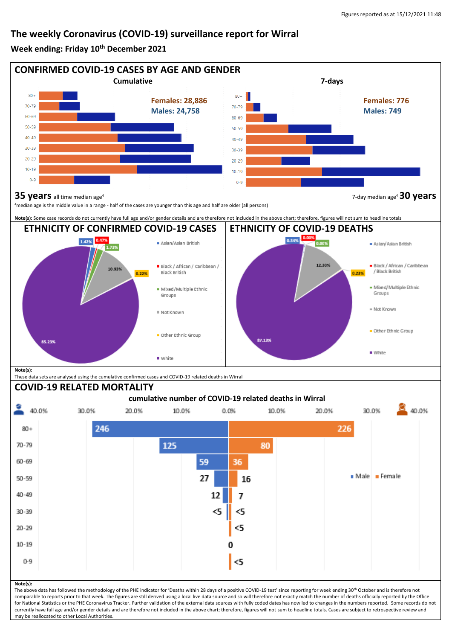## **The weekly Coronavirus (COVID-19) surveillance report for Wirral**

**Week ending: Friday 10th December 2021**